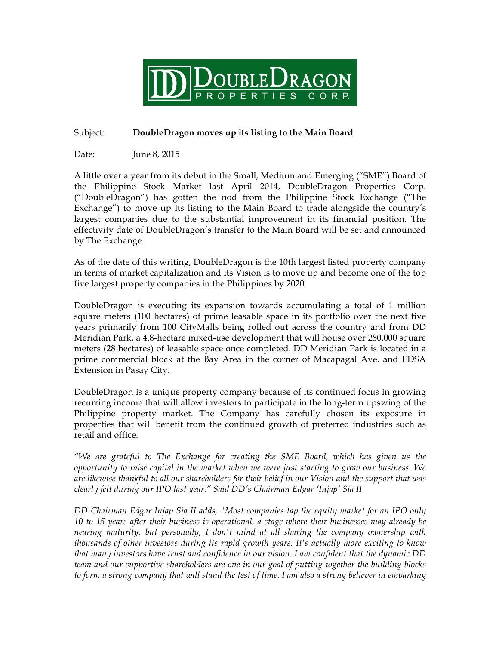

## Subject: **DoubleDragon moves up its listing to the Main Board**

Date: June 8, 2015

A little over a year from its debut in the Small, Medium and Emerging ("SME") Board of the Philippine Stock Market last April 2014, DoubleDragon Properties Corp. ("DoubleDragon") has gotten the nod from the Philippine Stock Exchange ("The Exchange") to move up its listing to the Main Board to trade alongside the country's largest companies due to the substantial improvement in its financial position. The effectivity date of DoubleDragon's transfer to the Main Board will be set and announced by The Exchange.

As of the date of this writing, DoubleDragon is the 10th largest listed property company in terms of market capitalization and its Vision is to move up and become one of the top five largest property companies in the Philippines by 2020.

DoubleDragon is executing its expansion towards accumulating a total of 1 million square meters (100 hectares) of prime leasable space in its portfolio over the next five years primarily from 100 CityMalls being rolled out across the country and from DD Meridian Park, a 4.8-hectare mixed-use development that will house over 280,000 square meters (28 hectares) of leasable space once completed. DD Meridian Park is located in a prime commercial block at the Bay Area in the corner of Macapagal Ave. and EDSA Extension in Pasay City.

DoubleDragon is a unique property company because of its continued focus in growing recurring income that will allow investors to participate in the long-term upswing of the Philippine property market. The Company has carefully chosen its exposure in properties that will benefit from the continued growth of preferred industries such as retail and office.

*"We are grateful to The Exchange for creating the SME Board, which has given us the opportunity to raise capital in the market when we were just starting to grow our business. We are likewise thankful to all our shareholders for their belief in our Vision and the support that was clearly felt during our IPO last year." Said DD's Chairman Edgar 'Injap' Sia II*

*DD Chairman Edgar Injap Sia II adds, "Most companies tap the equity market for an IPO only 10 to 15 years after their business is operational, a stage where their businesses may already be nearing maturity, but personally, I don't mind at all sharing the company ownership with thousands of other investors during its rapid growth years. It's actually more exciting to know that many investors have trust and confidence in our vision. I am confident that the dynamic DD team and our supportive shareholders are one in our goal of putting together the building blocks to form a strong company that will stand the test of time. I am also a strong believer in embarking*